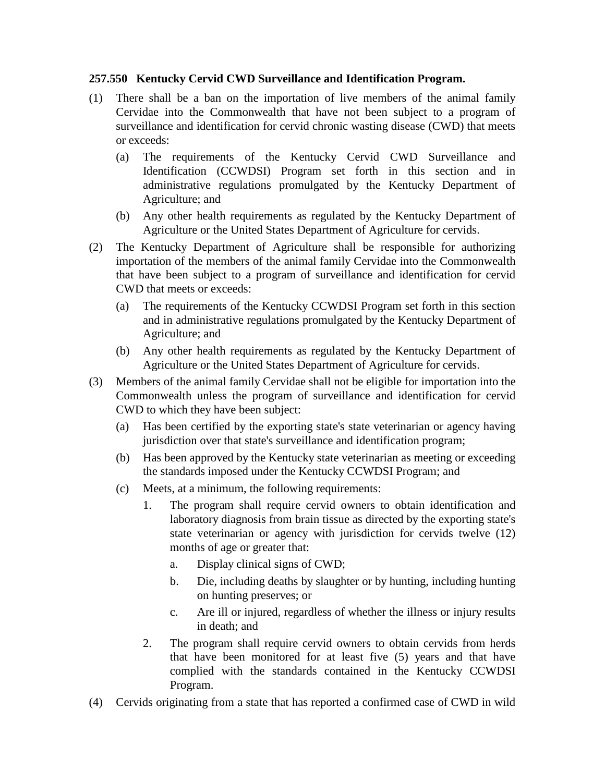## **257.550 Kentucky Cervid CWD Surveillance and Identification Program.**

- (1) There shall be a ban on the importation of live members of the animal family Cervidae into the Commonwealth that have not been subject to a program of surveillance and identification for cervid chronic wasting disease (CWD) that meets or exceeds:
	- (a) The requirements of the Kentucky Cervid CWD Surveillance and Identification (CCWDSI) Program set forth in this section and in administrative regulations promulgated by the Kentucky Department of Agriculture; and
	- (b) Any other health requirements as regulated by the Kentucky Department of Agriculture or the United States Department of Agriculture for cervids.
- (2) The Kentucky Department of Agriculture shall be responsible for authorizing importation of the members of the animal family Cervidae into the Commonwealth that have been subject to a program of surveillance and identification for cervid CWD that meets or exceeds:
	- (a) The requirements of the Kentucky CCWDSI Program set forth in this section and in administrative regulations promulgated by the Kentucky Department of Agriculture; and
	- (b) Any other health requirements as regulated by the Kentucky Department of Agriculture or the United States Department of Agriculture for cervids.
- (3) Members of the animal family Cervidae shall not be eligible for importation into the Commonwealth unless the program of surveillance and identification for cervid CWD to which they have been subject:
	- (a) Has been certified by the exporting state's state veterinarian or agency having jurisdiction over that state's surveillance and identification program;
	- (b) Has been approved by the Kentucky state veterinarian as meeting or exceeding the standards imposed under the Kentucky CCWDSI Program; and
	- (c) Meets, at a minimum, the following requirements:
		- 1. The program shall require cervid owners to obtain identification and laboratory diagnosis from brain tissue as directed by the exporting state's state veterinarian or agency with jurisdiction for cervids twelve (12) months of age or greater that:
			- a. Display clinical signs of CWD;
			- b. Die, including deaths by slaughter or by hunting, including hunting on hunting preserves; or
			- c. Are ill or injured, regardless of whether the illness or injury results in death; and
		- 2. The program shall require cervid owners to obtain cervids from herds that have been monitored for at least five (5) years and that have complied with the standards contained in the Kentucky CCWDSI Program.
- (4) Cervids originating from a state that has reported a confirmed case of CWD in wild